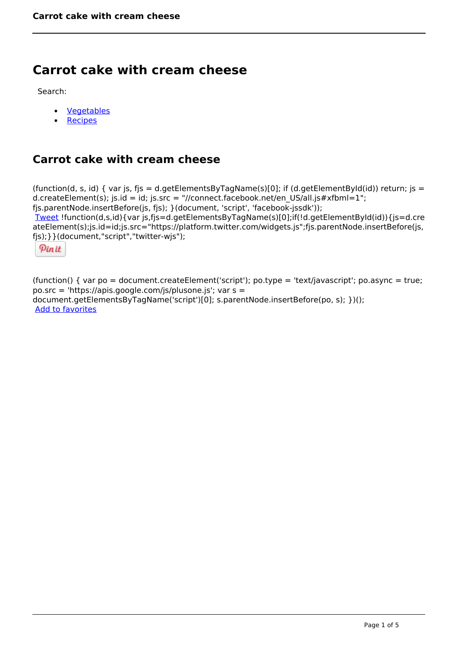# **Carrot cake with cream cheese**

Search:

- [Vegetables](https://www.naturalhealthmag.com.au/nourish/veg)
- [Recipes](https://www.naturalhealthmag.com.au/nourish/recipes)

# **Carrot cake with cream cheese**

(function(d, s, id) { var js, fjs = d.getElementsByTagName(s)[0]; if (d.getElementById(id)) return; js = d.createElement(s); js.id = id; js.src = "//connect.facebook.net/en\_US/all.js#xfbml=1"; fjs.parentNode.insertBefore(js, fjs); }(document, 'script', 'facebook-jssdk')); [Tweet](https://twitter.com/share) !function(d,s,id){var js,fjs=d.getElementsByTagName(s)[0];if(!d.getElementById(id)){js=d.cre ateElement(s);js.id=id;js.src="https://platform.twitter.com/widgets.js";fjs.parentNode.insertBefore(js, fjs);}}(document,"script","twitter-wjs");

Pinit

(function() { var po = document.createElement('script'); po.type = 'text/javascript'; po.async = true; po.src = 'https://apis.google.com/js/plusone.js'; var s = document.getElementsByTagName('script')[0]; s.parentNode.insertBefore(po, s); })(); Add to favorites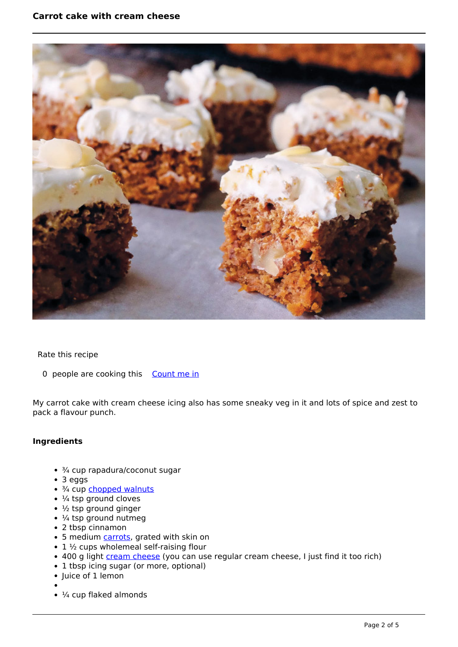

#### Rate this recipe

0 people are cooking this [Count me in](https://www.naturalhealthmag.com.au/flag/flag/favorites/1968?destination=printpdf%2F1968&token=d866136c95ac1f2975e35c6066b45a0f)

My carrot cake with cream cheese icing also has some sneaky veg in it and lots of spice and zest to pack a flavour punch.

## **Ingredients**

- ¾ cup rapadura/coconut sugar
- 3 eggs
- 3/4 cup [chopped walnuts](http://www.naturalhealthmag.com.au/nourish/green-beans-blue-cheese-and-walnuts)
- $\cdot$   $\frac{1}{4}$  tsp ground cloves
- $\cdot$  1/<sub>2</sub> tsp ground ginger
- $\cdot$  ¼ tsp ground nutmeg
- 2 tbsp cinnamon
- 5 medium [carrots,](http://www.naturalhealthmag.com.au/nourish/raw-carrot-cake) grated with skin on
- $\cdot$  1  $\frac{1}{2}$  cups wholemeal self-raising flour
- 400 g light [cream cheese](http://www.naturalhealthmag.com.au/nourish/potato-rosti-smoked-salmon-cream-cheese-and-caviar) (you can use regular cream cheese, I just find it too rich)
- 1 tbsp icing sugar (or more, optional)
- Juice of 1 lemon
- 
- $\cdot$   $\frac{1}{4}$  cup flaked almonds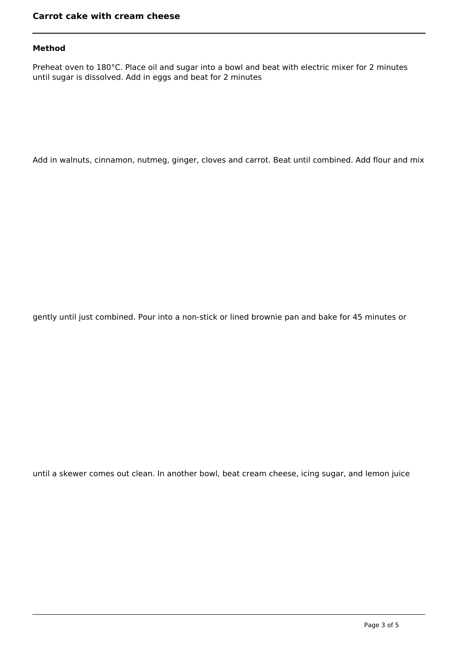## **Method**

Preheat oven to 180°C. Place oil and sugar into a bowl and beat with electric mixer for 2 minutes until sugar is dissolved. Add in eggs and beat for 2 minutes

Add in walnuts, cinnamon, nutmeg, ginger, cloves and carrot. Beat until combined. Add flour and mix

gently until just combined. Pour into a non-stick or lined brownie pan and bake for 45 minutes or

until a skewer comes out clean. In another bowl, beat cream cheese, icing sugar, and lemon juice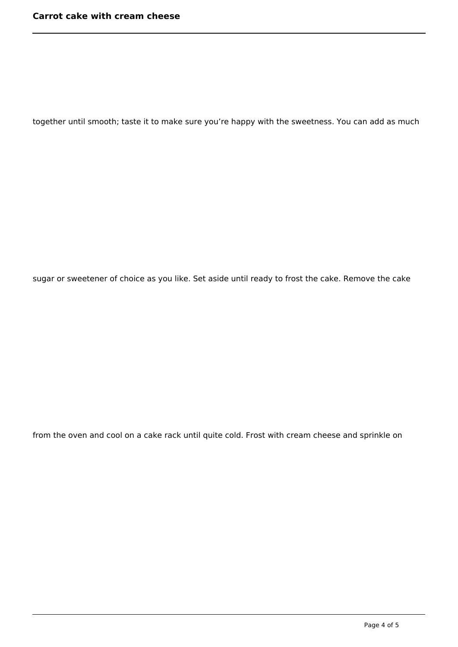together until smooth; taste it to make sure you're happy with the sweetness. You can add as much

sugar or sweetener of choice as you like. Set aside until ready to frost the cake. Remove the cake

from the oven and cool on a cake rack until quite cold. Frost with cream cheese and sprinkle on